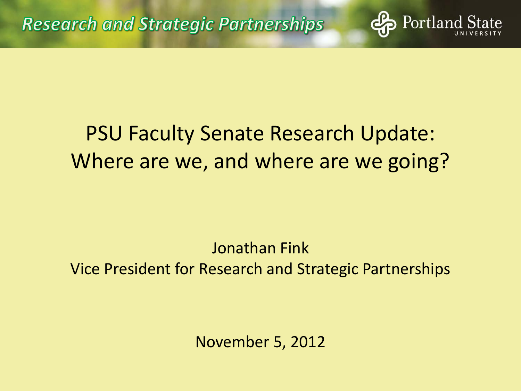#### PSU Faculty Senate Research Update: Where are we, and where are we going?

Portland

Jonathan Fink Vice President for Research and Strategic Partnerships

November 5, 2012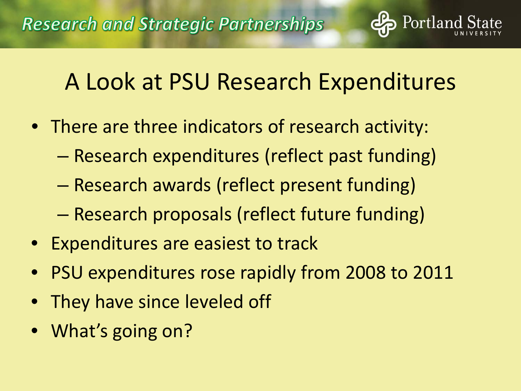#### A Look at PSU Research Expenditures

Portland

- There are three indicators of research activity:
	- Research expenditures (reflect past funding)
	- Research awards (reflect present funding)
	- Research proposals (reflect future funding)
- Expenditures are easiest to track
- PSU expenditures rose rapidly from 2008 to 2011
- They have since leveled off
- What's going on?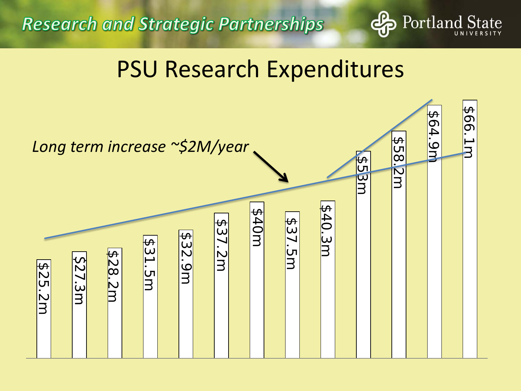**Research and Strategic Partnerships** 



#### PSU Research Expenditures

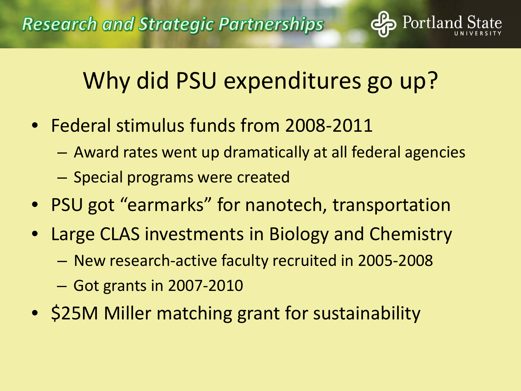## Why did PSU expenditures go up?

- Federal stimulus funds from 2008-2011
	- Award rates went up dramatically at all federal agencies
	- Special programs were created
- PSU got "earmarks" for nanotech, transportation
- Large CLAS investments in Biology and Chemistry
	- New research-active faculty recruited in 2005-2008
	- Got grants in 2007-2010
- \$25M Miller matching grant for sustainability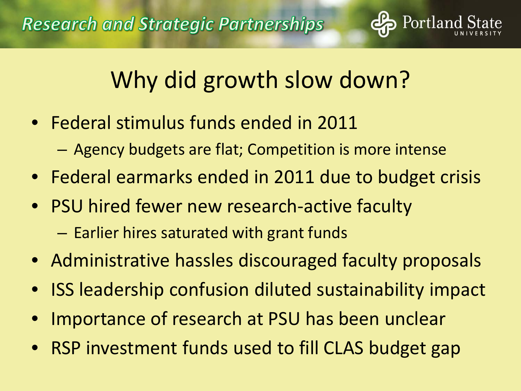

# Why did growth slow down?

- Federal stimulus funds ended in 2011
	- Agency budgets are flat; Competition is more intense
- Federal earmarks ended in 2011 due to budget crisis
- PSU hired fewer new research-active faculty
	- Earlier hires saturated with grant funds
- Administrative hassles discouraged faculty proposals
- ISS leadership confusion diluted sustainability impact
- Importance of research at PSU has been unclear
- RSP investment funds used to fill CLAS budget gap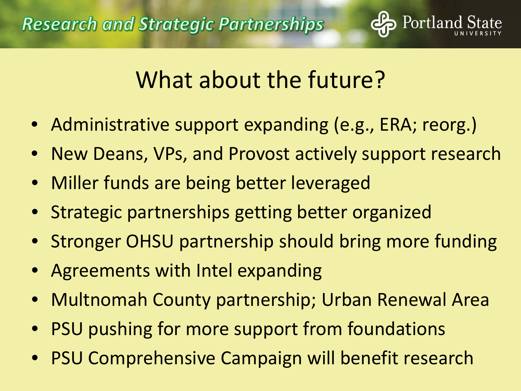

## What about the future?

- Administrative support expanding (e.g., ERA; reorg.)
- New Deans, VPs, and Provost actively support research
- Miller funds are being better leveraged
- Strategic partnerships getting better organized
- Stronger OHSU partnership should bring more funding
- Agreements with Intel expanding
- Multnomah County partnership; Urban Renewal Area
- PSU pushing for more support from foundations
- PSU Comprehensive Campaign will benefit research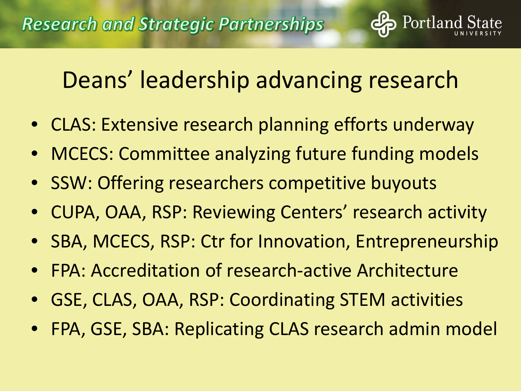## Deans' leadership advancing research

- CLAS: Extensive research planning efforts underway
- MCECS: Committee analyzing future funding models
- SSW: Offering researchers competitive buyouts
- CUPA, OAA, RSP: Reviewing Centers' research activity
- SBA, MCECS, RSP: Ctr for Innovation, Entrepreneurship
- FPA: Accreditation of research-active Architecture
- GSE, CLAS, OAA, RSP: Coordinating STEM activities
- FPA, GSE, SBA: Replicating CLAS research admin model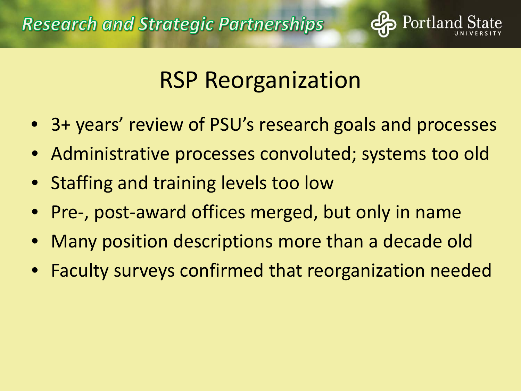

## RSP Reorganization

- 3+ years' review of PSU's research goals and processes
- Administrative processes convoluted; systems too old
- Staffing and training levels too low
- Pre-, post-award offices merged, but only in name
- Many position descriptions more than a decade old
- Faculty surveys confirmed that reorganization needed